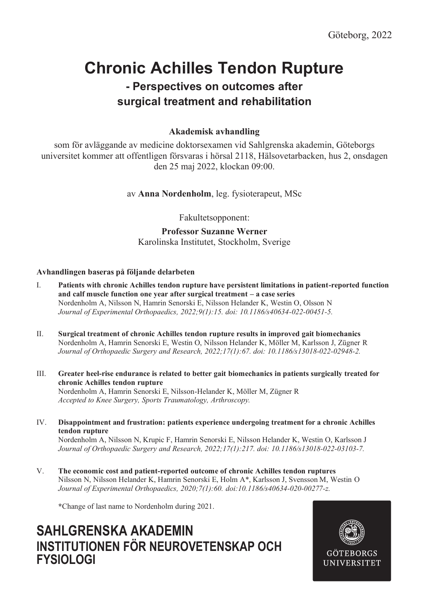# **Chronic Achilles Tendon Rupture**

### **- Perspectives on outcomes after surgical treatment and rehabilitation**

#### **Akademisk avhandling**

som för avläggande av medicine doktorsexamen vid Sahlgrenska akademin, Göteborgs universitet kommer att offentligen försvaras i hörsal 2118, Hälsovetarbacken, hus 2, onsdagen den 25 maj 2022, klockan 09:00.

av **Anna Nordenholm**, leg. fysioterapeut, MSc

Fakultetsopponent:

#### **Professor Suzanne Werner**

Karolinska Institutet, Stockholm, Sverige

#### **Avhandlingen baseras på följande delarbeten**

- I. **Patients with chronic Achilles tendon rupture have persistent limitations in patient-reported function and calf muscle function one year after surgical treatment – a case series** Nordenholm A, Nilsson N, Hamrin Senorski E, Nilsson Helander K, Westin O, Olsson N *Journal of Experimental Orthopaedics, 2022;9(1):15. doi: 10.1186/s40634-022-00451-5.*
- II. **Surgical treatment of chronic Achilles tendon rupture results in improved gait biomechanics** Nordenholm A, Hamrin Senorski E, Westin O, Nilsson Helander K, Möller M, Karlsson J, Zügner R *Journal of Orthopaedic Surgery and Research, 2022;17(1):67. doi: 10.1186/s13018-022-02948-2.*
- III. **Greater heel-rise endurance is related to better gait biomechanics in patients surgically treated for chronic Achilles tendon rupture** Nordenholm A, Hamrin Senorski E, Nilsson-Helander K, Möller M, Zügner R *Accepted to Knee Surgery, Sports Traumatology, Arthroscopy.*
- IV. **Disappointment and frustration: patients experience undergoing treatment for a chronic Achilles tendon rupture**

Nordenholm A, Nilsson N, Krupic F, Hamrin Senorski E, Nilsson Helander K, Westin O, Karlsson J *Journal of Orthopaedic Surgery and Research, 2022;17(1):217. doi: 10.1186/s13018-022-03103-7.*

V. **The economic cost and patient-reported outcome of chronic Achilles tendon ruptures** Nilsson N, Nilsson Helander K, Hamrin Senorski E, Holm A\*, Karlsson J, Svensson M, Westin O *Journal of Experimental Orthopaedics, 2020;7(1):60. doi:10.1186/s40634-020-00277-z.*

**\***Change of last name to Nordenholm during 2021.

### **SAHLGRENSKA AKADEMIN INSTITUTIONEN FÖR NEUROVETENSKAP OCH FYSIOLOGI**